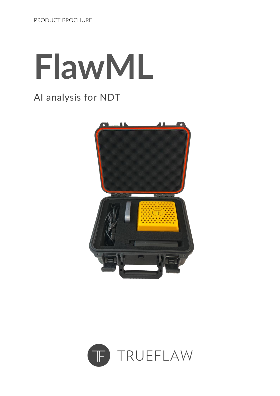# **FlawML**

#### AI analysis for NDT



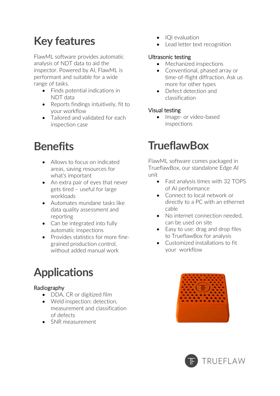## **Key features**

FlawML software provides automatic analysis of NDT data to aid the inspector. Powered by AI, FlawML is performant and suitable for a wide range of tasks.

- Finds potential indications in NDT data
- Reports findings intuitively, fit to your workflow
- Tailored and validated for each inspection case

## **Benefits**

- Allows to focus on indicated areas, saving resources for what's important
- An extra pair of eyes that never gets tired – useful for large workloads
- Automates mundane tasks like data quality assessment and reporting
- Can be integrated into fully automatic inspections
- Provides statistics for more finegrained production control, without added manual work

## **Applications**

#### Radiography

- DDA, CR or digitized film
- Weld inspection: detection, measurement and classification of defects
- SNR measurement
- IQI evaluation
- Lead letter text recognition

#### Ultrasonic testing

- Mechanized inspections
- Conventional, phased array or time-of-flight diffraction. Ask us more for other types
- Defect detection and classification

#### Visual testing

• Image- or video-based inspections

#### **TrueflawBox**

FlawML software comes packaged in TrueflawBox, our standalone Edge AI unit

- Fast analysis times with 32 TOPS of AI performance
- Connect to local network or directly to a PC with an ethernet cable
- No internet connection needed. can be used on site
- Easy to use: drag and drop files to TrueflawBox for analysis
- Customized installations to fit your workflow